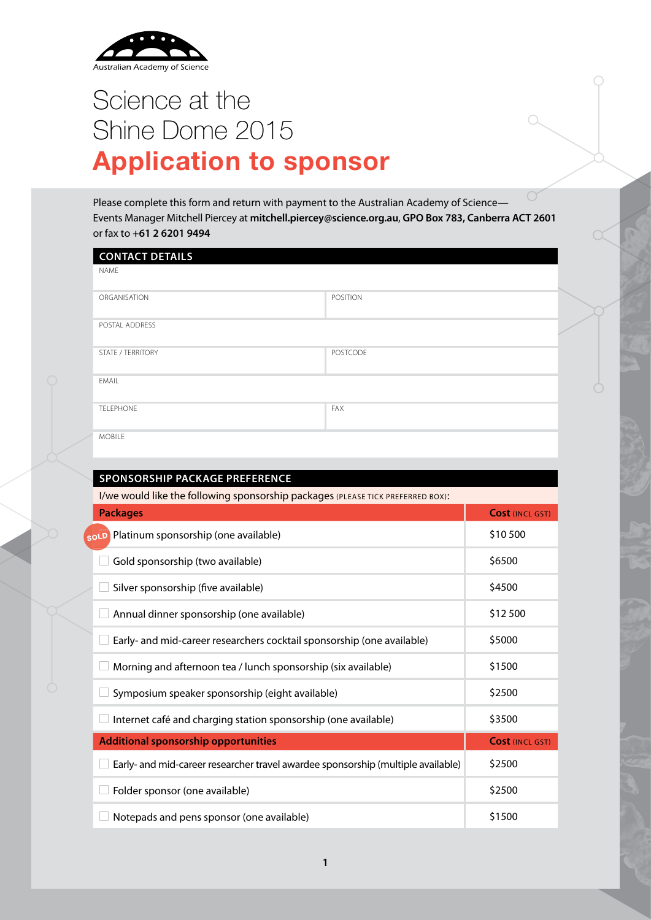

# Science at the Shine Dome 2015 **Application to sponsor**

Please complete this form and return with payment to the Australian Academy of Science— Events Manager Mitchell Piercey at **mitchell.piercey@science.org.au**, **GPO Box 783, Canberra ACT 2601** or fax to **+61 2 6201 9494**

| <b>CONTACT DETAILS</b>                                                          |                 |
|---------------------------------------------------------------------------------|-----------------|
| <b>NAME</b>                                                                     |                 |
| ORGANISATION                                                                    | <b>POSITION</b> |
| POSTAL ADDRESS                                                                  |                 |
| <b>STATE / TERRITORY</b>                                                        | <b>POSTCODE</b> |
| FMAIL                                                                           |                 |
| <b>TELEPHONE</b>                                                                | <b>FAX</b>      |
| <b>MOBILE</b>                                                                   |                 |
|                                                                                 |                 |
| SPONSORSHIP PACKAGE PREFERENCE                                                  |                 |
| I/we would like the following sponsorship packages (PLEASE TICK PREFERRED BOX): |                 |

| <b>Packages</b>                                                                  | <b>Cost (INCL GST)</b> |
|----------------------------------------------------------------------------------|------------------------|
| <b>OLD</b> Platinum sponsorship (one available)                                  | \$10 500               |
| Gold sponsorship (two available)                                                 | \$6500                 |
| Silver sponsorship (five available)                                              | \$4500                 |
| Annual dinner sponsorship (one available)                                        | \$12 500               |
| Early- and mid-career researchers cocktail sponsorship (one available)           | \$5000                 |
| Morning and afternoon tea / lunch sponsorship (six available)                    | \$1500                 |
| Symposium speaker sponsorship (eight available)                                  | \$2500                 |
| Internet café and charging station sponsorship (one available)                   | \$3500                 |
| <b>Additional sponsorship opportunities</b>                                      | <b>Cost (INCL GST)</b> |
| Early- and mid-career researcher travel awardee sponsorship (multiple available) | \$2500                 |
| Folder sponsor (one available)                                                   | \$2500                 |
| Notepads and pens sponsor (one available)                                        | \$1500                 |